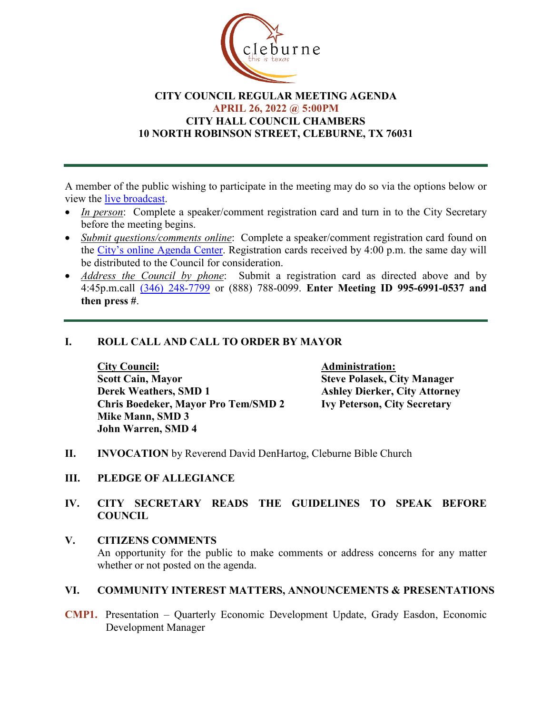

# **CITY COUNCIL REGULAR MEETING AGENDA APRIL 26, 2022 @ 5:00PM CITY HALL COUNCIL CHAMBERS 10 NORTH ROBINSON STREET, CLEBURNE, TX 76031**

A member of the public wishing to participate in the meeting may do so via the options below or view the [live broadcast.](http://www.cleburne.net/925/Cleburne-Live)

- *In person*: Complete a speaker/comment registration card and turn in to the City Secretary before the meeting begins.
- *Submit questions/comments online*: Complete a speaker/comment registration card found on the [City's online Agenda Center.](https://www.cleburne.net/agendacenter) Registration cards received by 4:00 p.m. the same day will be distributed to the Council for consideration.
- *Address the Council by phone*: Submit a registration card as directed above and by 4:45p.m.call [\(346\) 248-7799](tel:+13127573117,,477307821) or (888) 788-0099. **Enter Meeting ID 995-6991-0537 and then press #**.

# **I. ROLL CALL AND CALL TO ORDER BY MAYOR**

**City Council: Administration: Scott Cain, Mayor Steve Polasek, City Manager Chris Boedeker, Mayor Pro Tem/SMD 2 Ivy Peterson, City Secretary Mike Mann, SMD 3 John Warren, SMD 4**

**Ashley Dierker, City Attorney** 

- **II. INVOCATION** by Reverend David DenHartog, Cleburne Bible Church
- **III. PLEDGE OF ALLEGIANCE**
- **IV. CITY SECRETARY READS THE GUIDELINES TO SPEAK BEFORE COUNCIL**
- **V. CITIZENS COMMENTS** An opportunity for the public to make comments or address concerns for any matter whether or not posted on the agenda.

# **VI. COMMUNITY INTEREST MATTERS, ANNOUNCEMENTS & PRESENTATIONS**

**CMP1.** Presentation – Quarterly Economic Development Update, Grady Easdon, Economic Development Manager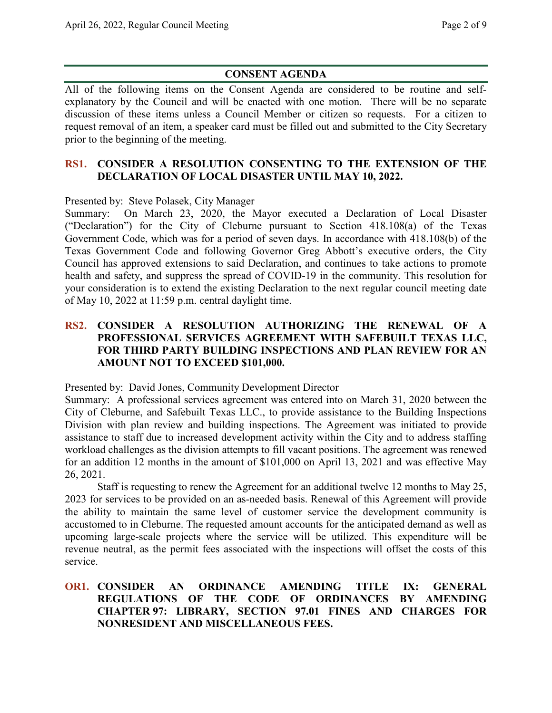# **CONSENT AGENDA**

All of the following items on the Consent Agenda are considered to be routine and selfexplanatory by the Council and will be enacted with one motion. There will be no separate discussion of these items unless a Council Member or citizen so requests. For a citizen to request removal of an item, a speaker card must be filled out and submitted to the City Secretary prior to the beginning of the meeting.

### **RS1. CONSIDER A RESOLUTION CONSENTING TO THE EXTENSION OF THE DECLARATION OF LOCAL DISASTER UNTIL MAY 10, 2022.**

Presented by: Steve Polasek, City Manager

Summary: On March 23, 2020, the Mayor executed a Declaration of Local Disaster ("Declaration") for the City of Cleburne pursuant to Section 418.108(a) of the Texas Government Code, which was for a period of seven days. In accordance with 418.108(b) of the Texas Government Code and following Governor Greg Abbott's executive orders, the City Council has approved extensions to said Declaration, and continues to take actions to promote health and safety, and suppress the spread of COVID-19 in the community. This resolution for your consideration is to extend the existing Declaration to the next regular council meeting date of May 10, 2022 at 11:59 p.m. central daylight time.

# **RS2. CONSIDER A RESOLUTION AUTHORIZING THE RENEWAL OF A PROFESSIONAL SERVICES AGREEMENT WITH SAFEBUILT TEXAS LLC, FOR THIRD PARTY BUILDING INSPECTIONS AND PLAN REVIEW FOR AN AMOUNT NOT TO EXCEED \$101,000.**

Presented by: David Jones, Community Development Director

Summary: A professional services agreement was entered into on March 31, 2020 between the City of Cleburne, and Safebuilt Texas LLC., to provide assistance to the Building Inspections Division with plan review and building inspections. The Agreement was initiated to provide assistance to staff due to increased development activity within the City and to address staffing workload challenges as the division attempts to fill vacant positions. The agreement was renewed for an addition 12 months in the amount of \$101,000 on April 13, 2021 and was effective May 26, 2021.

Staff is requesting to renew the Agreement for an additional twelve 12 months to May 25, 2023 for services to be provided on an as-needed basis. Renewal of this Agreement will provide the ability to maintain the same level of customer service the development community is accustomed to in Cleburne. The requested amount accounts for the anticipated demand as well as upcoming large-scale projects where the service will be utilized. This expenditure will be revenue neutral, as the permit fees associated with the inspections will offset the costs of this service.

## **OR1. CONSIDER AN ORDINANCE AMENDING TITLE IX: GENERAL REGULATIONS OF THE CODE OF ORDINANCES BY AMENDING CHAPTER 97: LIBRARY, SECTION 97.01 FINES AND CHARGES FOR NONRESIDENT AND MISCELLANEOUS FEES.**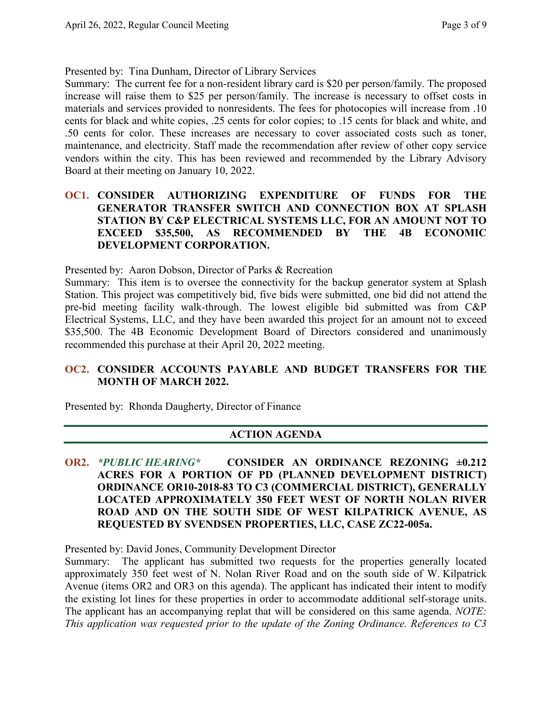Presented by: Tina Dunham, Director of Library Services

Summary: The current fee for a non-resident library card is \$20 per person/family. The proposed increase will raise them to \$25 per person/family. The increase is necessary to offset costs in materials and services provided to nonresidents. The fees for photocopies will increase from .10 cents for black and white copies, .25 cents for color copies; to .15 cents for black and white, and .50 cents for color. These increases are necessary to cover associated costs such as toner, maintenance, and electricity. Staff made the recommendation after review of other copy service vendors within the city. This has been reviewed and recommended by the Library Advisory Board at their meeting on January 10, 2022.

# **OC1. CONSIDER AUTHORIZING EXPENDITURE OF FUNDS FOR THE GENERATOR TRANSFER SWITCH AND CONNECTION BOX AT SPLASH STATION BY C&P ELECTRICAL SYSTEMS LLC, FOR AN AMOUNT NOT TO EXCEED \$35,500, AS RECOMMENDED BY THE 4B ECONOMIC DEVELOPMENT CORPORATION.**

Presented by: Aaron Dobson, Director of Parks & Recreation

Summary: This item is to oversee the connectivity for the backup generator system at Splash Station. This project was competitively bid, five bids were submitted, one bid did not attend the pre-bid meeting facility walk-through. The lowest eligible bid submitted was from C&P Electrical Systems, LLC, and they have been awarded this project for an amount not to exceed \$35,500. The 4B Economic Development Board of Directors considered and unanimously recommended this purchase at their April 20, 2022 meeting.

# **OC2. CONSIDER ACCOUNTS PAYABLE AND BUDGET TRANSFERS FOR THE MONTH OF MARCH 2022.**

Presented by: Rhonda Daugherty, Director of Finance

# **ACTION AGENDA**

**OR2.** *\*PUBLIC HEARING\** **CONSIDER AN ORDINANCE REZONING ±0.212 ACRES FOR A PORTION OF PD (PLANNED DEVELOPMENT DISTRICT) ORDINANCE OR10-2018-83 TO C3 (COMMERCIAL DISTRICT), GENERALLY LOCATED APPROXIMATELY 350 FEET WEST OF NORTH NOLAN RIVER ROAD AND ON THE SOUTH SIDE OF WEST KILPATRICK AVENUE, AS REQUESTED BY SVENDSEN PROPERTIES, LLC, CASE ZC22-005a.**

Presented by: David Jones, Community Development Director

Summary: The applicant has submitted two requests for the properties generally located approximately 350 feet west of N. Nolan River Road and on the south side of W. Kilpatrick Avenue (items OR2 and OR3 on this agenda). The applicant has indicated their intent to modify the existing lot lines for these properties in order to accommodate additional self-storage units. The applicant has an accompanying replat that will be considered on this same agenda. *NOTE: This application was requested prior to the update of the Zoning Ordinance. References to C3*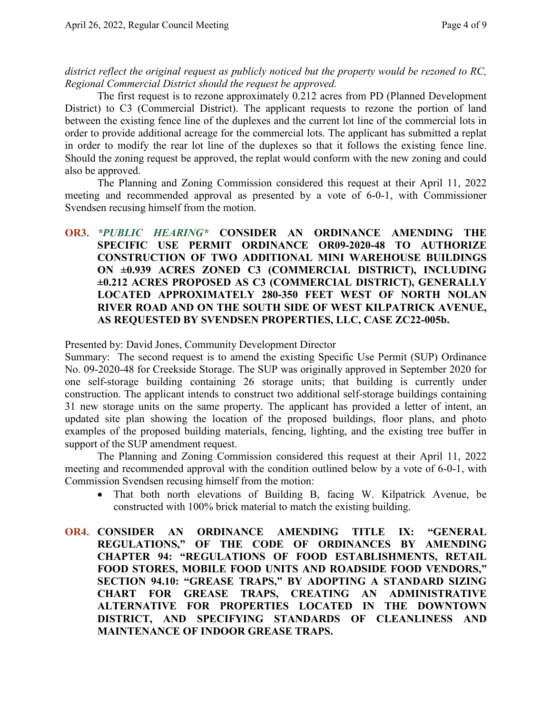*district reflect the original request as publicly noticed but the property would be rezoned to RC, Regional Commercial District should the request be approved.*

The first request is to rezone approximately 0.212 acres from PD (Planned Development District) to C3 (Commercial District). The applicant requests to rezone the portion of land between the existing fence line of the duplexes and the current lot line of the commercial lots in order to provide additional acreage for the commercial lots. The applicant has submitted a replat in order to modify the rear lot line of the duplexes so that it follows the existing fence line. Should the zoning request be approved, the replat would conform with the new zoning and could also be approved.

The Planning and Zoning Commission considered this request at their April 11, 2022 meeting and recommended approval as presented by a vote of 6-0-1, with Commissioner Svendsen recusing himself from the motion.

## **OR3.** *\*PUBLIC HEARING\** **CONSIDER AN ORDINANCE AMENDING THE SPECIFIC USE PERMIT ORDINANCE OR09-2020-48 TO AUTHORIZE CONSTRUCTION OF TWO ADDITIONAL MINI WAREHOUSE BUILDINGS ON ±0.939 ACRES ZONED C3 (COMMERCIAL DISTRICT), INCLUDING ±0.212 ACRES PROPOSED AS C3 (COMMERCIAL DISTRICT), GENERALLY LOCATED APPROXIMATELY 280-350 FEET WEST OF NORTH NOLAN RIVER ROAD AND ON THE SOUTH SIDE OF WEST KILPATRICK AVENUE, AS REQUESTED BY SVENDSEN PROPERTIES, LLC, CASE ZC22-005b.**

Presented by: David Jones, Community Development Director

Summary: The second request is to amend the existing Specific Use Permit (SUP) Ordinance No. 09-2020-48 for Creekside Storage. The SUP was originally approved in September 2020 for one self-storage building containing 26 storage units; that building is currently under construction. The applicant intends to construct two additional self-storage buildings containing 31 new storage units on the same property. The applicant has provided a letter of intent, an updated site plan showing the location of the proposed buildings, floor plans, and photo examples of the proposed building materials, fencing, lighting, and the existing tree buffer in support of the SUP amendment request.

The Planning and Zoning Commission considered this request at their April 11, 2022 meeting and recommended approval with the condition outlined below by a vote of 6-0-1, with Commission Svendsen recusing himself from the motion:

- That both north elevations of Building B, facing W. Kilpatrick Avenue, be constructed with 100% brick material to match the existing building.
- **OR4. CONSIDER AN ORDINANCE AMENDING TITLE IX: "GENERAL REGULATIONS," OF THE CODE OF ORDINANCES BY AMENDING CHAPTER 94: "REGULATIONS OF FOOD ESTABLISHMENTS, RETAIL FOOD STORES, MOBILE FOOD UNITS AND ROADSIDE FOOD VENDORS," SECTION 94.10: "GREASE TRAPS," BY ADOPTING A STANDARD SIZING CHART FOR GREASE TRAPS, CREATING AN ADMINISTRATIVE ALTERNATIVE FOR PROPERTIES LOCATED IN THE DOWNTOWN DISTRICT, AND SPECIFYING STANDARDS OF CLEANLINESS AND MAINTENANCE OF INDOOR GREASE TRAPS.**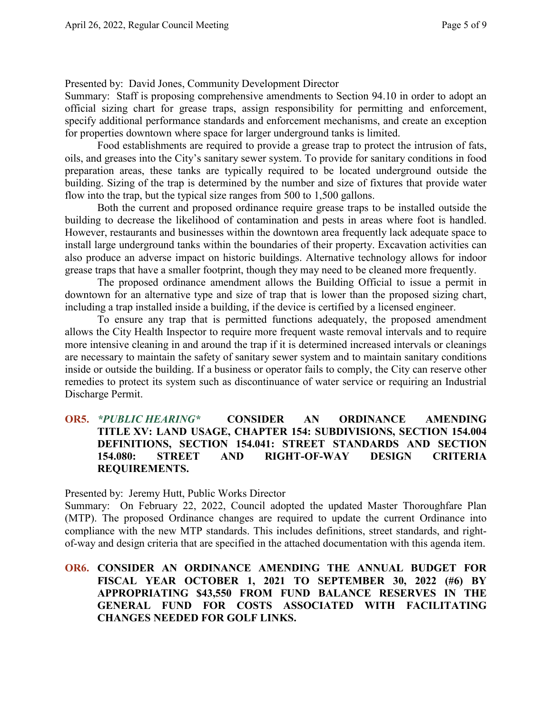#### Presented by: David Jones, Community Development Director

Summary: Staff is proposing comprehensive amendments to Section 94.10 in order to adopt an official sizing chart for grease traps, assign responsibility for permitting and enforcement, specify additional performance standards and enforcement mechanisms, and create an exception for properties downtown where space for larger underground tanks is limited.

Food establishments are required to provide a grease trap to protect the intrusion of fats, oils, and greases into the City's sanitary sewer system. To provide for sanitary conditions in food preparation areas, these tanks are typically required to be located underground outside the building. Sizing of the trap is determined by the number and size of fixtures that provide water flow into the trap, but the typical size ranges from 500 to 1,500 gallons.

Both the current and proposed ordinance require grease traps to be installed outside the building to decrease the likelihood of contamination and pests in areas where foot is handled. However, restaurants and businesses within the downtown area frequently lack adequate space to install large underground tanks within the boundaries of their property. Excavation activities can also produce an adverse impact on historic buildings. Alternative technology allows for indoor grease traps that have a smaller footprint, though they may need to be cleaned more frequently.

The proposed ordinance amendment allows the Building Official to issue a permit in downtown for an alternative type and size of trap that is lower than the proposed sizing chart, including a trap installed inside a building, if the device is certified by a licensed engineer.

To ensure any trap that is permitted functions adequately, the proposed amendment allows the City Health Inspector to require more frequent waste removal intervals and to require more intensive cleaning in and around the trap if it is determined increased intervals or cleanings are necessary to maintain the safety of sanitary sewer system and to maintain sanitary conditions inside or outside the building. If a business or operator fails to comply, the City can reserve other remedies to protect its system such as discontinuance of water service or requiring an Industrial Discharge Permit.

#### **OR5.** *\*PUBLIC HEARING\** **CONSIDER AN ORDINANCE AMENDING TITLE XV: LAND USAGE, CHAPTER 154: SUBDIVISIONS, SECTION 154.004 DEFINITIONS, SECTION 154.041: STREET STANDARDS AND SECTION 154.080: STREET AND RIGHT-OF-WAY DESIGN CRITERIA REQUIREMENTS.**

Presented by: Jeremy Hutt, Public Works Director

Summary: On February 22, 2022, Council adopted the updated Master Thoroughfare Plan (MTP). The proposed Ordinance changes are required to update the current Ordinance into compliance with the new MTP standards. This includes definitions, street standards, and rightof-way and design criteria that are specified in the attached documentation with this agenda item.

### **OR6. CONSIDER AN ORDINANCE AMENDING THE ANNUAL BUDGET FOR FISCAL YEAR OCTOBER 1, 2021 TO SEPTEMBER 30, 2022 (#6) BY APPROPRIATING \$43,550 FROM FUND BALANCE RESERVES IN THE GENERAL FUND FOR COSTS ASSOCIATED WITH FACILITATING CHANGES NEEDED FOR GOLF LINKS.**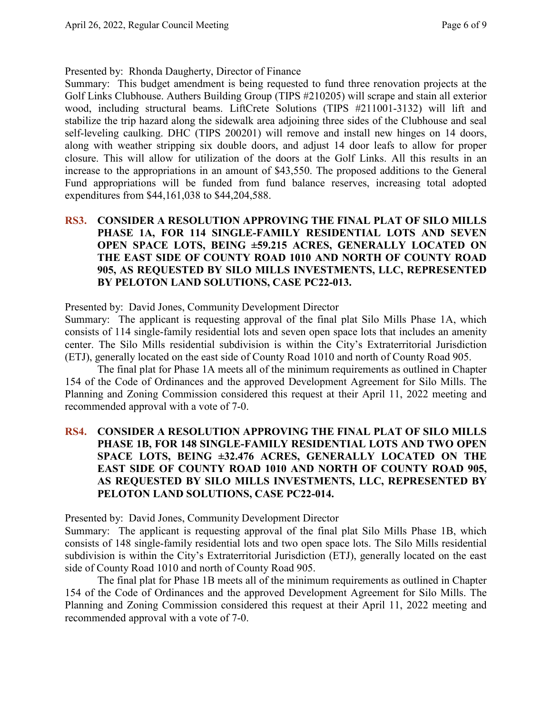Presented by: Rhonda Daugherty, Director of Finance

Summary: This budget amendment is being requested to fund three renovation projects at the Golf Links Clubhouse. Authers Building Group (TIPS #210205) will scrape and stain all exterior wood, including structural beams. LiftCrete Solutions (TIPS #211001-3132) will lift and stabilize the trip hazard along the sidewalk area adjoining three sides of the Clubhouse and seal self-leveling caulking. DHC (TIPS 200201) will remove and install new hinges on 14 doors, along with weather stripping six double doors, and adjust 14 door leafs to allow for proper closure. This will allow for utilization of the doors at the Golf Links. All this results in an increase to the appropriations in an amount of \$43,550. The proposed additions to the General Fund appropriations will be funded from fund balance reserves, increasing total adopted expenditures from \$44,161,038 to \$44,204,588.

**RS3. CONSIDER A RESOLUTION APPROVING THE FINAL PLAT OF SILO MILLS PHASE 1A, FOR 114 SINGLE-FAMILY RESIDENTIAL LOTS AND SEVEN OPEN SPACE LOTS, BEING ±59.215 ACRES, GENERALLY LOCATED ON THE EAST SIDE OF COUNTY ROAD 1010 AND NORTH OF COUNTY ROAD 905, AS REQUESTED BY SILO MILLS INVESTMENTS, LLC, REPRESENTED BY PELOTON LAND SOLUTIONS, CASE PC22-013.**

Presented by: David Jones, Community Development Director

Summary: The applicant is requesting approval of the final plat Silo Mills Phase 1A, which consists of 114 single-family residential lots and seven open space lots that includes an amenity center. The Silo Mills residential subdivision is within the City's Extraterritorial Jurisdiction (ETJ), generally located on the east side of County Road 1010 and north of County Road 905.

The final plat for Phase 1A meets all of the minimum requirements as outlined in Chapter 154 of the Code of Ordinances and the approved Development Agreement for Silo Mills. The Planning and Zoning Commission considered this request at their April 11, 2022 meeting and recommended approval with a vote of 7-0.

# **RS4. CONSIDER A RESOLUTION APPROVING THE FINAL PLAT OF SILO MILLS PHASE 1B, FOR 148 SINGLE-FAMILY RESIDENTIAL LOTS AND TWO OPEN SPACE LOTS, BEING ±32.476 ACRES, GENERALLY LOCATED ON THE EAST SIDE OF COUNTY ROAD 1010 AND NORTH OF COUNTY ROAD 905, AS REQUESTED BY SILO MILLS INVESTMENTS, LLC, REPRESENTED BY PELOTON LAND SOLUTIONS, CASE PC22-014.**

Presented by: David Jones, Community Development Director

Summary: The applicant is requesting approval of the final plat Silo Mills Phase 1B, which consists of 148 single-family residential lots and two open space lots. The Silo Mills residential subdivision is within the City's Extraterritorial Jurisdiction (ETJ), generally located on the east side of County Road 1010 and north of County Road 905.

The final plat for Phase 1B meets all of the minimum requirements as outlined in Chapter 154 of the Code of Ordinances and the approved Development Agreement for Silo Mills. The Planning and Zoning Commission considered this request at their April 11, 2022 meeting and recommended approval with a vote of 7-0.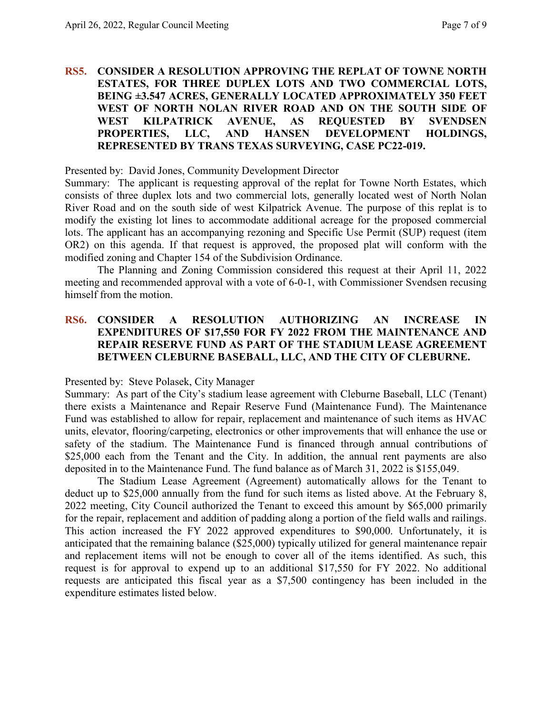#### **RS5. CONSIDER A RESOLUTION APPROVING THE REPLAT OF TOWNE NORTH ESTATES, FOR THREE DUPLEX LOTS AND TWO COMMERCIAL LOTS, BEING ±3.547 ACRES, GENERALLY LOCATED APPROXIMATELY 350 FEET WEST OF NORTH NOLAN RIVER ROAD AND ON THE SOUTH SIDE OF WEST KILPATRICK AVENUE, AS REQUESTED BY SVENDSEN PROPERTIES, LLC, AND HANSEN DEVELOPMENT HOLDINGS, REPRESENTED BY TRANS TEXAS SURVEYING, CASE PC22-019.**

Presented by: David Jones, Community Development Director

Summary: The applicant is requesting approval of the replat for Towne North Estates, which consists of three duplex lots and two commercial lots, generally located west of North Nolan River Road and on the south side of west Kilpatrick Avenue. The purpose of this replat is to modify the existing lot lines to accommodate additional acreage for the proposed commercial lots. The applicant has an accompanying rezoning and Specific Use Permit (SUP) request (item OR2) on this agenda. If that request is approved, the proposed plat will conform with the modified zoning and Chapter 154 of the Subdivision Ordinance.

The Planning and Zoning Commission considered this request at their April 11, 2022 meeting and recommended approval with a vote of 6-0-1, with Commissioner Svendsen recusing himself from the motion.

#### **RS6. CONSIDER A RESOLUTION AUTHORIZING AN INCREASE IN EXPENDITURES OF \$17,550 FOR FY 2022 FROM THE MAINTENANCE AND REPAIR RESERVE FUND AS PART OF THE STADIUM LEASE AGREEMENT BETWEEN CLEBURNE BASEBALL, LLC, AND THE CITY OF CLEBURNE.**

Presented by: Steve Polasek, City Manager

Summary: As part of the City's stadium lease agreement with Cleburne Baseball, LLC (Tenant) there exists a Maintenance and Repair Reserve Fund (Maintenance Fund). The Maintenance Fund was established to allow for repair, replacement and maintenance of such items as HVAC units, elevator, flooring/carpeting, electronics or other improvements that will enhance the use or safety of the stadium. The Maintenance Fund is financed through annual contributions of \$25,000 each from the Tenant and the City. In addition, the annual rent payments are also deposited in to the Maintenance Fund. The fund balance as of March 31, 2022 is \$155,049.

The Stadium Lease Agreement (Agreement) automatically allows for the Tenant to deduct up to \$25,000 annually from the fund for such items as listed above. At the February 8, 2022 meeting, City Council authorized the Tenant to exceed this amount by \$65,000 primarily for the repair, replacement and addition of padding along a portion of the field walls and railings. This action increased the FY 2022 approved expenditures to \$90,000. Unfortunately, it is anticipated that the remaining balance (\$25,000) typically utilized for general maintenance repair and replacement items will not be enough to cover all of the items identified. As such, this request is for approval to expend up to an additional \$17,550 for FY 2022. No additional requests are anticipated this fiscal year as a \$7,500 contingency has been included in the expenditure estimates listed below.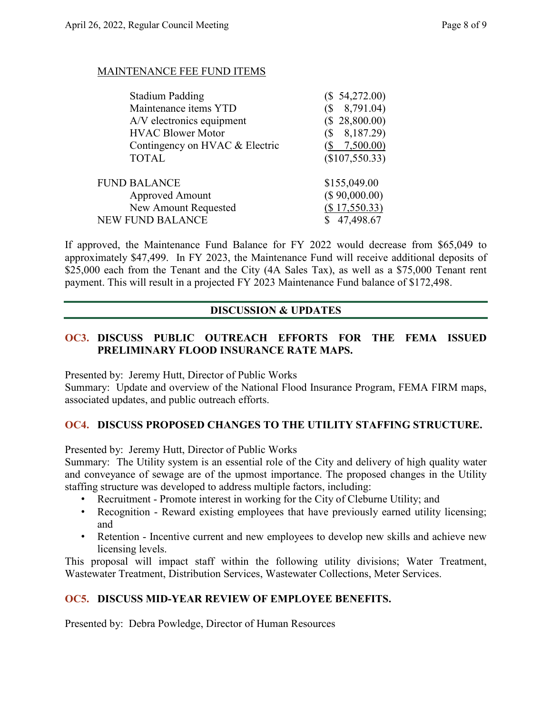#### MAINTENANCE FEE FUND ITEMS

| <b>Stadium Padding</b>         | (\$ 54,272.00)           |
|--------------------------------|--------------------------|
| Maintenance items YTD          | 8,791.04)                |
| A/V electronics equipment      | (\$28,800.00)            |
| <b>HVAC Blower Motor</b>       | 8,187.29)<br>$\sqrt{S}$  |
| Contingency on HVAC & Electric | $(\frac{$}{8}$ 7,500.00) |
| <b>TOTAL</b>                   | (\$107,550.33)           |
| <b>FUND BALANCE</b>            | \$155,049.00             |
| <b>Approved Amount</b>         | (\$ 90,000.00)           |
| New Amount Requested           | (\$17,550.33)            |
| <b>NEW FUND BALANCE</b>        | 47,498.67                |

If approved, the Maintenance Fund Balance for FY 2022 would decrease from \$65,049 to approximately \$47,499. In FY 2023, the Maintenance Fund will receive additional deposits of \$25,000 each from the Tenant and the City (4A Sales Tax), as well as a \$75,000 Tenant rent payment. This will result in a projected FY 2023 Maintenance Fund balance of \$172,498.

# **DISCUSSION & UPDATES**

## **OC3. DISCUSS PUBLIC OUTREACH EFFORTS FOR THE FEMA ISSUED PRELIMINARY FLOOD INSURANCE RATE MAPS.**

Presented by: Jeremy Hutt, Director of Public Works

Summary: Update and overview of the National Flood Insurance Program, FEMA FIRM maps, associated updates, and public outreach efforts.

#### **OC4. DISCUSS PROPOSED CHANGES TO THE UTILITY STAFFING STRUCTURE.**

Presented by: Jeremy Hutt, Director of Public Works

Summary: The Utility system is an essential role of the City and delivery of high quality water and conveyance of sewage are of the upmost importance. The proposed changes in the Utility staffing structure was developed to address multiple factors, including:

- Recruitment Promote interest in working for the City of Cleburne Utility; and
- Recognition Reward existing employees that have previously earned utility licensing; and
- Retention Incentive current and new employees to develop new skills and achieve new licensing levels.

This proposal will impact staff within the following utility divisions; Water Treatment, Wastewater Treatment, Distribution Services, Wastewater Collections, Meter Services.

# **OC5. DISCUSS MID-YEAR REVIEW OF EMPLOYEE BENEFITS.**

Presented by: Debra Powledge, Director of Human Resources